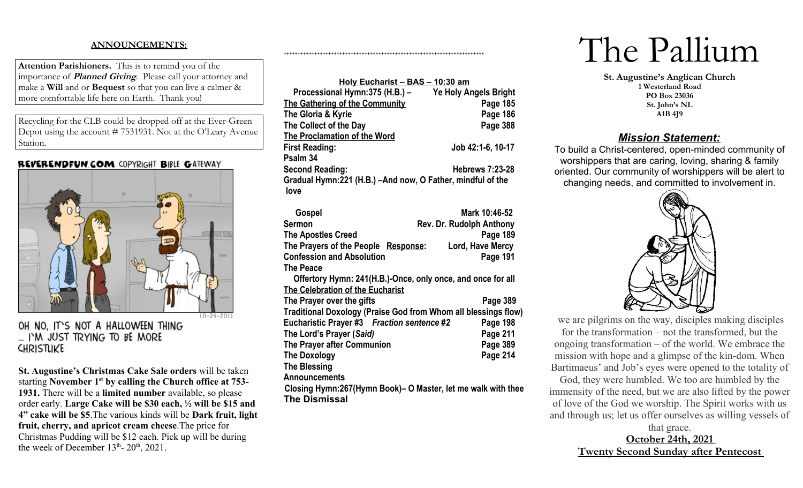# **ANNOUNCEMENTS:**

**Attention Parishioners.** This is to remind you of the importance of **Planned Giving**. Please call your attorney and make a **Will** and or **Bequest** so that you can live a calmer & more comfortable life here on Earth. Thank you!

Recycling for the CLB could be dropped off at the Ever-Green Depot using the account # 7531931. Not at the O'Leary Avenue Station.

## REVERENDFUN.COM COPYRIGHT BIBLE GATEWAY



OH NO. IT'S NOT A HALLOWEEN THING ... I'M JUST TRYING TO BE MORE **CHRISTLIKE** 

**St. Augustine's Christmas Cake Sale orders** will be taken starting **November 1st by calling the Church office at 753- 1931.** There will be a **limited number** available, so please order early. **Large Cake will be \$30 each, ½ will be \$15 and 4" cake will be \$5**.The various kinds will be **Dark fruit, light fruit, cherry, and apricot cream cheese**.The price for Christmas Pudding will be \$12 each. Pick up will be during the week of December  $13<sup>th</sup>$ -  $20<sup>th</sup>$ ,  $2021$ .

| <u> Holy Eucharist – BAS – 10:30 am</u>                    |                         |  |  |  |  |
|------------------------------------------------------------|-------------------------|--|--|--|--|
| Processional Hymn:375 (H.B.) -                             | Ye Holy Angels Bright   |  |  |  |  |
| <b>The Gathering of the Community</b>                      | Page 185                |  |  |  |  |
| The Gloria & Kyrie                                         | Page 186                |  |  |  |  |
| The Collect of the Day                                     | Page 388                |  |  |  |  |
| <b>The Proclamation of the Word</b>                        |                         |  |  |  |  |
| First Reading:                                             | Job 42:1-6, 10-17       |  |  |  |  |
| Psalm 34                                                   |                         |  |  |  |  |
| <b>Second Reading:</b>                                     | <b>Hebrews 7:23-28</b>  |  |  |  |  |
| Gradual Hymn:221 (H.B.) –And now, O Father, mindful of the |                         |  |  |  |  |
| love                                                       |                         |  |  |  |  |
| Gospel                                                     | Mark 10:46-52           |  |  |  |  |
|                                                            | Des De Dudelek Anthonic |  |  |  |  |

++++++++++++++++++++++++++++++++++++++++++++++++++++++++++++++++++++++++

| <b>Sermon</b>                                                  | <b>Rev. Dr. Rudolph Anthony</b> |  |  |  |
|----------------------------------------------------------------|---------------------------------|--|--|--|
| <b>The Apostles Creed</b>                                      | Page 189                        |  |  |  |
| The Prayers of the People Response:                            | Lord, Have Mercy                |  |  |  |
| <b>Confession and Absolution</b>                               | Page 191                        |  |  |  |
| <b>The Peace</b>                                               |                                 |  |  |  |
| Offertory Hymn: 241(H.B.)-Once, only once, and once for all    |                                 |  |  |  |
| The Celebration of the Eucharist                               |                                 |  |  |  |
| The Prayer over the gifts                                      | Page 389                        |  |  |  |
| Traditional Doxology (Praise God from Whom all blessings flow) |                                 |  |  |  |
| Eucharistic Prayer #3 Fraction sentence #2                     | Page 198                        |  |  |  |
| The Lord's Prayer (Said)                                       | Page 211                        |  |  |  |
| The Prayer after Communion                                     | Page 389                        |  |  |  |
| <b>The Doxology</b>                                            | Page 214                        |  |  |  |
| <b>The Blessing</b>                                            |                                 |  |  |  |
| <b>Announcements</b>                                           |                                 |  |  |  |
| Closing Hymn:267(Hymn Book)– O Master, let me walk with thee   |                                 |  |  |  |
| <b>The Dismissal</b>                                           |                                 |  |  |  |

# The Pallium

**St. Augustine's Anglican Church 1 Westerland Road PO Box 23036 St. John's NL A1B 4J9**

# *Mission Statement:*

To build a Christ-centered, open-minded community of worshippers that are caring, loving, sharing & family oriented. Our community of worshippers will be alert to changing needs, and committed to involvement in.



we are pilgrims on the way, disciples making disciples for the transformation – not the transformed, but the ongoing transformation – of the world. We embrace the mission with hope and a glimpse of the kin-dom. When Bartimaeus' and Job's eyes were opened to the totality of

God, they were humbled. We too are humbled by the immensity of the need, but we are also lifted by the power of love of the God we worship. The Spirit works with us and through us; let us offer ourselves as willing vessels of

> that grace. **October 24th, 2021 Twenty Second Sunday after Pentecost**